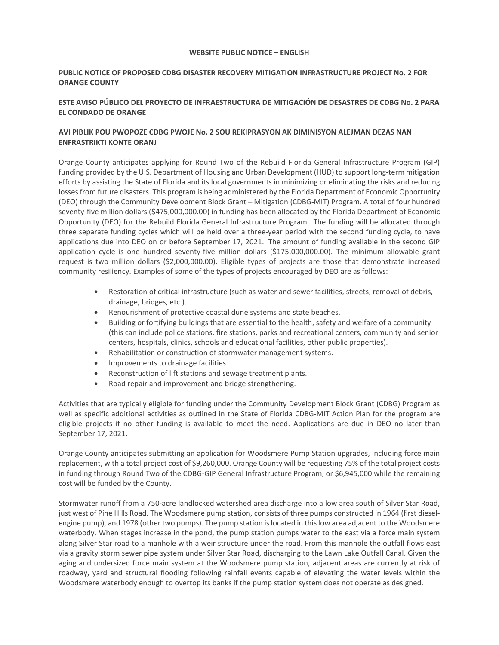#### **WEBSITE PUBLIC NOTICE – ENGLISH**

## **PUBLIC NOTICE OF PROPOSED CDBG DISASTER RECOVERY MITIGATION INFRASTRUCTURE PROJECT No. 2 FOR ORANGE COUNTY**

# **ESTE AVISO PÚBLICO DEL PROYECTO DE INFRAESTRUCTURA DE MITIGACIÓN DE DESASTRES DE CDBG No. 2 PARA EL CONDADO DE ORANGE**

## **AVI PIBLIK POU PWOPOZE CDBG PWOJE No. 2 SOU REKIPRASYON AK DIMINISYON ALEJMAN DEZAS NAN ENFRASTRIKTI KONTE ORANJ**

Orange County anticipates applying for Round Two of the Rebuild Florida General Infrastructure Program (GIP) funding provided by the U.S. Department of Housing and Urban Development (HUD) to support long-term mitigation efforts by assisting the State of Florida and its local governments in minimizing or eliminating the risks and reducing losses from future disasters. This program is being administered by the Florida Department of Economic Opportunity (DEO) through the Community Development Block Grant – Mitigation (CDBG-MIT) Program. A total of four hundred seventy-five million dollars (\$475,000,000.00) in funding has been allocated by the Florida Department of Economic Opportunity (DEO) for the Rebuild Florida General Infrastructure Program. The funding will be allocated through three separate funding cycles which will be held over a three-year period with the second funding cycle, to have applications due into DEO on or before September 17, 2021. The amount of funding available in the second GIP application cycle is one hundred seventy-five million dollars (\$175,000,000.00). The minimum allowable grant request is two million dollars (\$2,000,000.00). Eligible types of projects are those that demonstrate increased community resiliency. Examples of some of the types of projects encouraged by DEO are as follows:

- • Restoration of critical infrastructure (such as water and sewer facilities, streets, removal of debris, drainage, bridges, etc.).
- Renourishment of protective coastal dune systems and state beaches.
- (this can include police stations, fire stations, parks and recreational centers, community and senior • Building or fortifying buildings that are essential to the health, safety and welfare of a community centers, hospitals, clinics, schools and educational facilities, other public properties).
- Rehabilitation or construction of stormwater management systems.
- Improvements to drainage facilities.
- Reconstruction of lift stations and sewage treatment plants.
- Road repair and improvement and bridge strengthening.

 eligible projects if no other funding is available to meet the need. Applications are due in DEO no later than Activities that are typically eligible for funding under the Community Development Block Grant (CDBG) Program as well as specific additional activities as outlined in the State of Florida CDBG-MIT Action Plan for the program are September 17, 2021.

 replacement, with a total project cost of \$9,260,000. Orange County will be requesting 75% of the total project costs Orange County anticipates submitting an application for Woodsmere Pump Station upgrades, including force main in funding through Round Two of the CDBG-GIP General Infrastructure Program, or \$6,945,000 while the remaining cost will be funded by the County.

 Stormwater runoff from a 750-acre landlocked watershed area discharge into a low area south of Silver Star Road, waterbody. When stages increase in the pond, the pump station pumps water to the east via a force main system aging and undersized force main system at the Woodsmere pump station, adjacent areas are currently at risk of roadway, yard and structural flooding following rainfall events capable of elevating the water levels within the just west of Pine Hills Road. The Woodsmere pump station, consists of three pumps constructed in 1964 (first dieselengine pump), and 1978 (other two pumps). The pump station is located in this low area adjacent to the Woodsmere along Silver Star road to a manhole with a weir structure under the road. From this manhole the outfall flows east via a gravity storm sewer pipe system under Silver Star Road, discharging to the Lawn Lake Outfall Canal. Given the Woodsmere waterbody enough to overtop its banks if the pump station system does not operate as designed.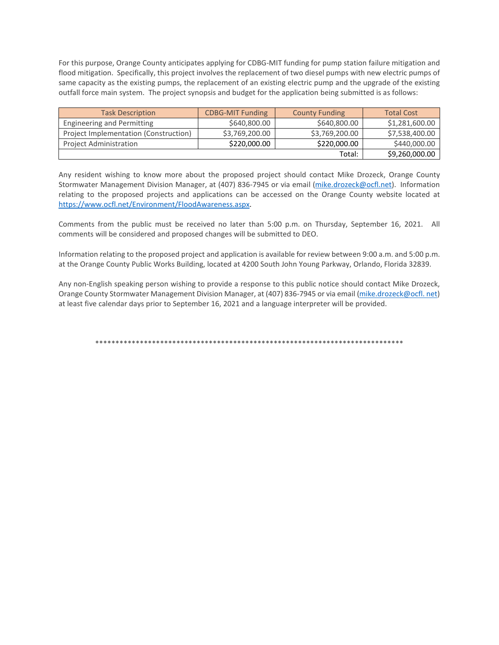flood mitigation. Specifically, this project involves the replacement of two diesel pumps with new electric pumps of same capacity as the existing pumps, the replacement of an existing electric pump and the upgrade of the existing For this purpose, Orange County anticipates applying for CDBG-MIT funding for pump station failure mitigation and outfall force main system. The project synopsis and budget for the application being submitted is as follows:

| <b>Task Description</b>               | <b>CDBG-MIT Funding</b> | <b>County Funding</b> | <b>Total Cost</b> |
|---------------------------------------|-------------------------|-----------------------|-------------------|
| Engineering and Permitting            | \$640,800.00            | \$640,800.00          | \$1,281,600.00    |
| Project Implementation (Construction) | \$3,769,200.00          | \$3,769,200.00        | \$7,538,400.00    |
| <b>Project Administration</b>         | \$220,000.00            | \$220,000.00          | \$440,000.00      |
|                                       |                         | Total:                | \$9,260,000.00    |

Any resident wishing to know more about the proposed project should contact Mike Drozeck, Orange County Stormwater Management Division Manager, at (407) 836-7945 or via email [\(mike.drozeck@ocfl.net\)](mailto:mike.drozeck@ocfl.net). Information relating to the proposed projects and applications can be accessed on the Orange County website located at [https://www.ocfl.net/Environment/FloodAwareness.aspx.](https://www.ocfl.net/Environment/FloodAwareness.aspx) 

 Comments from the public must be received no later than 5:00 p.m. on Thursday, September 16, 2021. All comments will be considered and proposed changes will be submitted to DEO.

Information relating to the proposed project and application is available for review between 9:00 a.m. and 5:00 p.m. at the Orange County Public Works Building, located at 4200 South John Young Parkway, Orlando, Florida 32839.

Any non-English speaking person wishing to provide a response to this public notice should contact Mike Drozeck, Orange County Stormwater Management Division Manager, at (407) 836-7945 or via email [\(mike.drozeck@ocfl. net\)](mailto:mike.drozeck@ocfl.net) at least five calendar days prior to September 16, 2021 and a language interpreter will be provided.

\*\*\*\*\*\*\*\*\*\*\*\*\*\*\*\*\*\*\*\*\*\*\*\*\*\*\*\*\*\*\*\*\*\*\*\*\*\*\*\*\*\*\*\*\*\*\*\*\*\*\*\*\*\*\*\*\*\*\*\*\*\*\*\*\*\*\*\*\*\*\*\*\*\*\*\*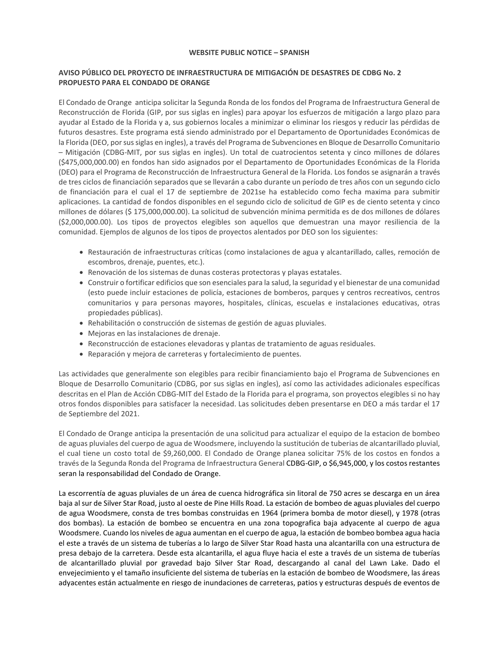### **WEBSITE PUBLIC NOTICE – SPANISH**

## **AVISO PÚBLICO DEL PROYECTO DE INFRAESTRUCTURA DE MITIGACIÓN DE DESASTRES DE CDBG No. 2 PROPUESTO PARA EL CONDADO DE ORANGE**

El Condado de Orange anticipa solicitar la Segunda Ronda de los fondos del Programa de Infraestructura General de Reconstrucción de Florida (GIP, por sus siglas en ingles) para apoyar los esfuerzos de mitigación a largo plazo para ayudar al Estado de la Florida y a, sus gobiernos locales a minimizar o eliminar los riesgos y reducir las pérdidas de futuros desastres. Este programa está siendo administrado por el Departamento de Oportunidades Económicas de la Florida (DEO, por sus siglas en ingles), a través del Programa de Subvenciones en Bloque de Desarrollo Comunitario – Mitigación (CDBG-MIT, por sus siglas en ingles). Un total de cuatrocientos setenta y cinco millones de dólares (\$475,000,000.00) en fondos han sido asignados por el Departamento de Oportunidades Económicas de la Florida (DEO) para el Programa de Reconstrucción de Infraestructura General de la Florida. Los fondos se asignarán a través de tres ciclos de financiación separados que se llevarán a cabo durante un período de tres años con un segundo ciclo de financiación para el cual el 17 de septiembre de 2021se ha establecido como fecha maxima para submitir aplicaciones. La cantidad de fondos disponibles en el segundo ciclo de solicitud de GIP es de ciento setenta y cinco millones de dólares (\$ 175,000,000.00). La solicitud de subvención mínima permitida es de dos millones de dólares (\$2,000,000.00). Los tipos de proyectos elegibles son aquellos que demuestran una mayor resiliencia de la comunidad. Ejemplos de algunos de los tipos de proyectos alentados por DEO son los siguientes:

- Restauración de infraestructuras críticas (como instalaciones de agua y alcantarillado, calles, remoción de escombros, drenaje, puentes, etc.).
- Renovación de los sistemas de dunas costeras protectoras y playas estatales.
- Construir o fortificar edificios que son esenciales para la salud, la seguridad y el bienestar de una comunidad (esto puede incluir estaciones de policía, estaciones de bomberos, parques y centros recreativos, centros comunitarios y para personas mayores, hospitales, clínicas, escuelas e instalaciones educativas, otras propiedades públicas).
- Rehabilitación o construcción de sistemas de gestión de aguas pluviales.
- Mejoras en las instalaciones de drenaje.
- Reconstrucción de estaciones elevadoras y plantas de tratamiento de aguas residuales.
- Reparación y mejora de carreteras y fortalecimiento de puentes.

 otros fondos disponibles para satisfacer la necesidad. Las solicitudes deben presentarse en DEO a más tardar el 17 Las actividades que generalmente son elegibles para recibir financiamiento bajo el Programa de Subvenciones en Bloque de Desarrollo Comunitario (CDBG, por sus siglas en ingles), así como las actividades adicionales específicas descritas en el Plan de Acción CDBG-MIT del Estado de la Florida para el programa, son proyectos elegibles si no hay de Septiembre del 2021.

 de aguas pluviales del cuerpo de agua de Woodsmere, incluyendo la sustitución de tuberias de alcantarillado pluvial, El Condado de Orange anticipa la presentación de una solicitud para actualizar el equipo de la estacion de bombeo el cual tiene un costo total de \$9,260,000. El Condado de Orange planea solicitar 75% de los costos en fondos a través de la Segunda Ronda del Programa de Infraestructura General CDBG-GIP, o \$6,945,000, y los costos restantes seran la responsabilidad del Condado de Orange.

 La escorrentía de aguas pluviales de un área de cuenca hidrográfica sin litoral de 750 acres se descarga en un área baja al sur de Silver Star Road, justo al oeste de Pine Hills Road. La estación de bombeo de aguas pluviales del cuerpo de agua Woodsmere, consta de tres bombas construidas en 1964 (primera bomba de motor diesel), y 1978 (otras dos bombas). La estación de bombeo se encuentra en una zona topografica baja adyacente al cuerpo de agua Woodsmere. Cuando los niveles de agua aumentan en el cuerpo de agua, la estación de bombeo bombea agua hacia el este a través de un sistema de tuberías a lo largo de Silver Star Road hasta una alcantarilla con una estructura de presa debajo de la carretera. Desde esta alcantarilla, el agua fluye hacia el este a través de un sistema de tuberías de alcantarillado pluvial por gravedad bajo Silver Star Road, descargando al canal del Lawn Lake. Dado el envejecimiento y el tamaño insuficiente del sistema de tuberías en la estación de bombeo de Woodsmere, las áreas adyacentes están actualmente en riesgo de inundaciones de carreteras, patios y estructuras después de eventos de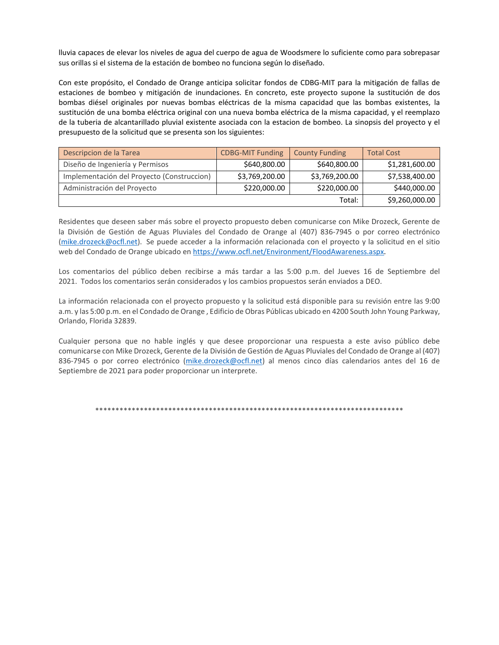lluvia capaces de elevar los niveles de agua del cuerpo de agua de Woodsmere lo suficiente como para sobrepasar sus orillas si el sistema de la estación de bombeo no funciona según lo diseñado.

 Con este propósito, el Condado de Orange anticipa solicitar fondos de CDBG-MIT para la mitigación de fallas de estaciones de bombeo y mitigación de inundaciones. En concreto, este proyecto supone la sustitución de dos bombas diésel originales por nuevas bombas eléctricas de la misma capacidad que las bombas existentes, la bombas diésel originales por nuevas bombas eléctricas de la misma capacidad que las bombas existentes, la<br>sustitución de una bomba eléctrica original con una nueva bomba eléctrica de la misma capacidad, y el reemplazo de la tuberia de alcantarillado pluvial existente asociada con la estacion de bombeo. La sinopsis del proyecto y el presupuesto de la solicitud que se presenta son los siguientes:

| Descripcion de la Tarea                    | <b>CDBG-MIT Funding</b> | <b>County Funding</b> | <b>Total Cost</b> |
|--------------------------------------------|-------------------------|-----------------------|-------------------|
| Diseño de Ingeniería y Permisos            | \$640,800.00            | \$640,800.00          | \$1,281,600.00    |
| Implementación del Proyecto (Construccion) | \$3,769,200.00          | \$3,769,200.00        | \$7,538,400.00    |
| Administración del Proyecto                | \$220,000.00            | \$220,000.00          | \$440,000.00      |
| Total:                                     |                         |                       | \$9,260,000.00    |

Residentes que deseen saber más sobre el proyecto propuesto deben comunicarse con Mike Drozeck, Gerente de la División de Gestión de Aguas Pluviales del Condado de Orange al (407) 836-7945 o por correo electrónico [\(mike.drozeck@ocfl.net\)](mailto:mike.drozeck@ocfl.net). Se puede acceder a la información relacionada con el proyecto y la solicitud en el sitio web del Condado de Orange ubicado en [https://www.ocfl.net/Environment/FloodAwareness.aspx.](https://www.ocfl.net/Environment/FloodAwareness.aspx)

 Los comentarios del público deben recibirse a más tardar a las 5:00 p.m. del Jueves 16 de Septiembre del 2021. Todos los comentarios serán considerados y los cambios propuestos serán enviados a DEO.

La información relacionada con el proyecto propuesto y la solicitud está disponible para su revisión entre las 9:00 a.m. y las 5:00 p.m. en el Condado de Orange , Edificio de Obras Públicas ubicado en 4200 South John Young Parkway, Orlando, Florida 32839.

Cualquier persona que no hable inglés y que desee proporcionar una respuesta a este aviso público debe comunicarse con Mike Drozeck, Gerente de la División de Gestión de Aguas Pluviales del Condado de Orange al (407) 836-7945 o por correo electrónico [\(mike.drozeck@ocfl.net\)](mailto:mike.drozeck@ocfl.net) al menos cinco días calendarios antes del 16 de Septiembre de 2021 para poder proporcionar un interprete.

\*\*\*\*\*\*\*\*\*\*\*\*\*\*\*\*\*\*\*\*\*\*\*\*\*\*\*\*\*\*\*\*\*\*\*\*\*\*\*\*\*\*\*\*\*\*\*\*\*\*\*\*\*\*\*\*\*\*\*\*\*\*\*\*\*\*\*\*\*\*\*\*\*\*\*\*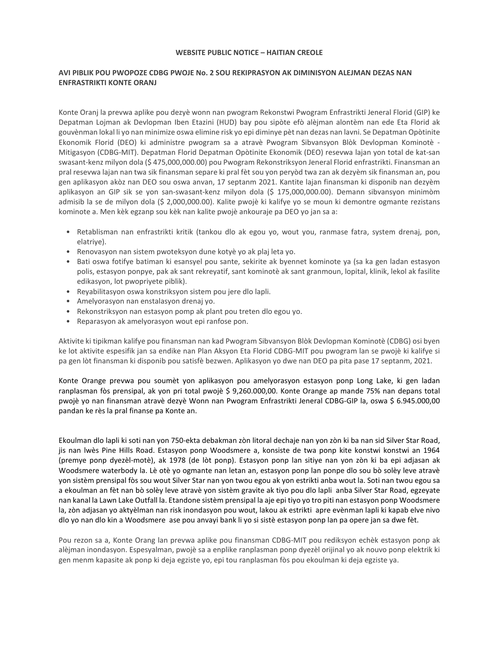#### **WEBSITE PUBLIC NOTICE – HAITIAN CREOLE**

### **AVI PIBLIK POU PWOPOZE CDBG PWOJE No. 2 SOU REKIPRASYON AK DIMINISYON ALEJMAN DEZAS NAN ENFRASTRIKTI KONTE ORANJ**

Konte Oranj la prevwa aplike pou dezyè wonn nan pwogram Rekonstwi Pwogram Enfrastrikti Jeneral Florid (GIP) ke Depatman Lojman ak Devlopman Iben Etazini (HUD) bay pou sipòte efò alèjman alontèm nan ede Eta Florid ak gouvènman lokal li yo nan minimize oswa elimine risk yo epi diminye pèt nan dezas nan lavni. Se Depatman Opòtinite Ekonomik Florid (DEO) ki administre pwogram sa a atravè Pwogram Sibvansyon Blòk Devlopman Kominotè - Mitigasyon (CDBG-MIT). Depatman Florid Depatman Opòtinite Ekonomik (DEO) resevwa lajan yon total de kat-san swasant-kenz milyon dola (\$ 475,000,000.00) pou Pwogram Rekonstriksyon Jeneral Florid enfrastrikti. Finansman an pral resevwa lajan nan twa sik finansman separe ki pral fèt sou yon peryòd twa zan ak dezyèm sik finansman an, pou gen aplikasyon akòz nan DEO sou oswa anvan, 17 septanm 2021. Kantite lajan finansman ki disponib nan dezyèm aplikasyon an GIP sik se yon san-swasant-kenz milyon dola (\$ 175,000,000.00). Demann sibvansyon minimòm admisib la se de milyon dola (\$ 2,000,000.00). Kalite pwojè ki kalifye yo se moun ki demontre ogmante rezistans kominote a. Men kèk egzanp sou kèk nan kalite pwojè ankouraje pa DEO yo jan sa a:

- • Retablisman nan enfrastrikti kritik (tankou dlo ak egou yo, wout you, ranmase fatra, system drenaj, pon, elatriye).
- Renovasyon nan sistem pwoteksyon dune kotyè yo ak plaj leta yo.
- • Bati oswa fotifye batiman ki esansyel pou sante, sekirite ak byennet kominote ya (sa ka gen ladan estasyon polis, estasyon ponpye, pak ak sant rekreyatif, sant kominotè ak sant granmoun, lopital, klinik, lekol ak fasilite edikasyon, lot pwopriyete piblik).
- Reyabilitasyon oswa konstriksyon sistem pou jere dlo lapli. Amelyorasyon nan enstalasyon drenaj yo.
- 
- Rekonstriksyon nan estasyon pomp ak plant pou treten dlo egou yo.
- Reparasyon ak amelyorasyon wout epi ranfose pon.

 ke lot aktivite espesifik jan sa endike nan Plan Aksyon Eta Florid CDBG-MIT pou pwogram lan se pwojè ki kalifye si Aktivite ki tipikman kalifye pou finansman nan kad Pwogram Sibvansyon Blòk Devlopman Kominotè (CDBG) osi byen pa gen lòt finansman ki disponib pou satisfè bezwen. Aplikasyon yo dwe nan DEO pa pita pase 17 septanm, 2021.

Konte Orange prevwa pou soumèt yon aplikasyon pou amelyorasyon estasyon ponp Long Lake, ki gen ladan ranplasman fòs prensipal, ak yon pri total pwojè \$ 9,260.000,00. Konte Orange ap mande 75% nan depans total pwojè yo nan finansman atravè dezyè Wonn nan Pwogram Enfrastrikti Jeneral CDBG-GIP la, oswa \$ 6.945.000,00 pandan ke rès la pral finanse pa Konte an.

 Ekoulman dlo lapli ki soti nan yon 750-ekta debakman zòn litoral dechaje nan yon zòn ki ba nan sid Silver Star Road, yon sistèm prensipal fòs sou wout Silver Star nan yon twou egou ak yon estrikti anba wout la. Soti nan twou egou sa nan kanal la Lawn Lake Outfall la. Etandone sistèm prensipal la aje epi tiyo yo tro piti nan estasyon ponp Woodsmere jis nan lwès Pine Hills Road. Estasyon ponp Woodsmere a, konsiste de twa ponp kite konstwi konstwi an 1964 (premye ponp dyezèl-motè), ak 1978 (de lòt ponp). Estasyon ponp lan sitiye nan yon zòn ki ba epi adjasan ak Woodsmere waterbody la. Lè otè yo ogmante nan letan an, estasyon ponp lan ponpe dlo sou bò solèy leve atravè a ekoulman an fèt nan bò solèy leve atravè yon sistèm gravite ak tiyo pou dlo lapli anba Silver Star Road, egzeyate la, zòn adjasan yo aktyèlman nan risk inondasyon pou wout, lakou ak estrikti apre evènman lapli ki kapab elve nivo dlo yo nan dlo kin a Woodsmere ase pou anvayi bank li yo si sistè estasyon ponp lan pa opere jan sa dwe fèt.

 Pou rezon sa a, Konte Orang lan prevwa aplike pou finansman CDBG-MIT pou rediksyon echèk estasyon ponp ak alèjman inondasyon. Espesyalman, pwojè sa a enplike ranplasman ponp dyezèl orijinal yo ak nouvo ponp elektrik ki gen menm kapasite ak ponp ki deja egziste yo, epi tou ranplasman fòs pou ekoulman ki deja egziste ya.